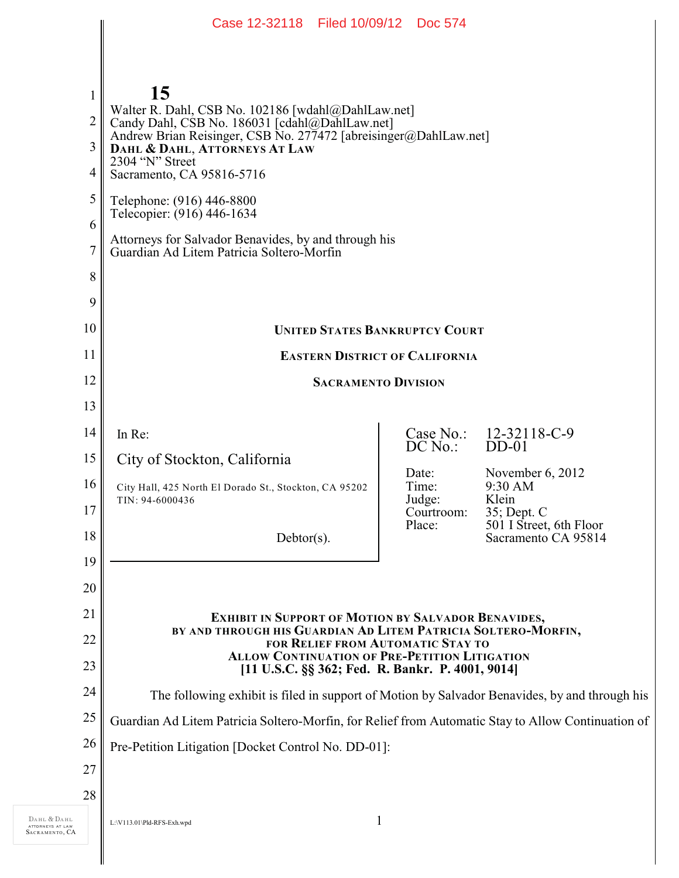|                | Case 12-32118 Filed 10/09/12 Doc 574                                                                                        |                      |                                        |
|----------------|-----------------------------------------------------------------------------------------------------------------------------|----------------------|----------------------------------------|
|                |                                                                                                                             |                      |                                        |
|                |                                                                                                                             |                      |                                        |
| $\mathbf{1}$   | 15                                                                                                                          |                      |                                        |
| $\overline{2}$ | Walter R. Dahl, CSB No. 102186 [wdahl@DahlLaw.net]<br>Candy Dahl, CSB No. 186031 [cdahl@DahlLaw.net]                        |                      |                                        |
| 3              | Andrew Brian Reisinger, CSB No. 277472 [abreisinger@DahlLaw.net]<br>DAHL & DAHL, ATTORNEYS AT LAW                           |                      |                                        |
| 4              | 2304 "N" Street<br>Sacramento, CA 95816-5716                                                                                |                      |                                        |
| 5              | Telephone: (916) 446-8800<br>Telecopier: (916) 446-1634                                                                     |                      |                                        |
| 6              | Attorneys for Salvador Benavides, by and through his                                                                        |                      |                                        |
| $\overline{7}$ | Guardian Ad Litem Patricia Soltero-Morfin                                                                                   |                      |                                        |
| 8              |                                                                                                                             |                      |                                        |
| 9              |                                                                                                                             |                      |                                        |
| 10             | <b>UNITED STATES BANKRUPTCY COURT</b>                                                                                       |                      |                                        |
| 11             | <b>EASTERN DISTRICT OF CALIFORNIA</b>                                                                                       |                      |                                        |
| 12             | <b>SACRAMENTO DIVISION</b>                                                                                                  |                      |                                        |
| 13             |                                                                                                                             |                      |                                        |
| 14             | In Re:                                                                                                                      | $DC$ No.:            | Case No.: 12-32118-C-9<br>$DD-01$      |
| 15             | City of Stockton, California                                                                                                | Date:                | November 6, 2012                       |
| 16             | City Hall, 425 North El Dorado St., Stockton, CA 95202<br>TIN: 94-6000436                                                   | Time:<br>Judge:      | 9:30 AM<br>Klein                       |
| 17             |                                                                                                                             | Courtroom:<br>Place: | 35; Dept. C<br>501 I Street, 6th Floor |
| 18             | $Dektor(s)$ .                                                                                                               |                      | Sacramento CA 95814                    |
| 19             |                                                                                                                             |                      |                                        |
| 20             |                                                                                                                             |                      |                                        |
| 21<br>22       | <b>EXHIBIT IN SUPPORT OF MOTION BY SALVADOR BENAVIDES,</b><br>BY AND THROUGH HIS GUARDIAN AD LITEM PATRICIA SOLTERO-MORFIN, |                      |                                        |
| 23             | FOR RELIEF FROM AUTOMATIC STAY TO<br><b>ALLOW CONTINUATION OF PRE-PETITION LITIGATION</b>                                   |                      |                                        |
| 24             | [11 U.S.C. §§ 362; Fed. R. Bankr. P. 4001, 9014]                                                                            |                      |                                        |
| 25             | The following exhibit is filed in support of Motion by Salvador Benavides, by and through his                               |                      |                                        |
| 26             | Guardian Ad Litem Patricia Soltero-Morfin, for Relief from Automatic Stay to Allow Continuation of                          |                      |                                        |
| 27             | Pre-Petition Litigation [Docket Control No. DD-01]:                                                                         |                      |                                        |
| 28             |                                                                                                                             |                      |                                        |
|                | $\mathbf{1}$<br>L:\V113.01\Pld-RFS-Exh.wpd                                                                                  |                      |                                        |

DAHL & DAHL ATTORNEYS AT LAW SACRAMENTO , CA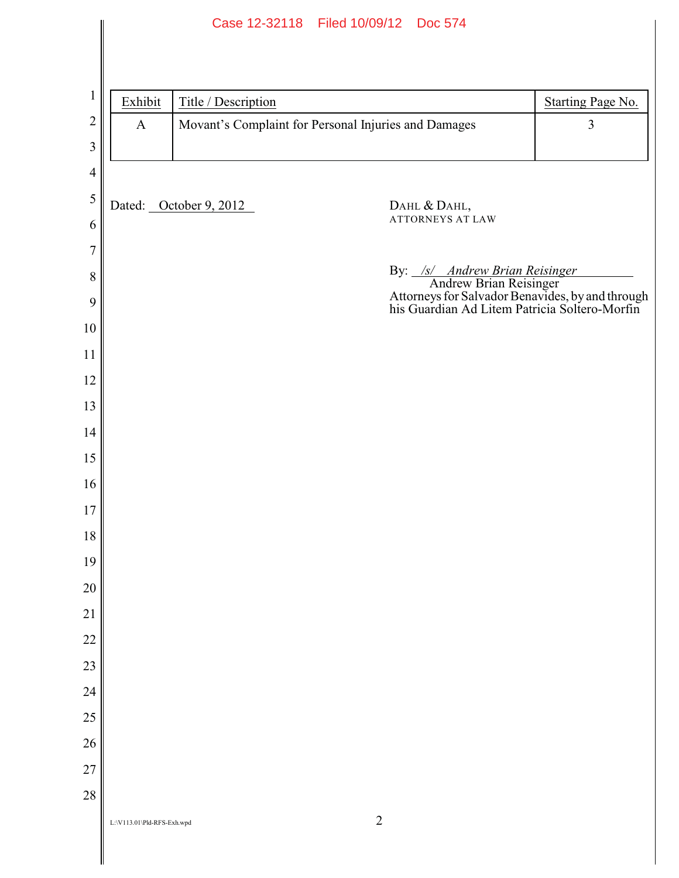|                |                            |                        | Case 12-32118 Filed 10/09/12 Doc 574                 |                                                                                                                                                                      |
|----------------|----------------------------|------------------------|------------------------------------------------------|----------------------------------------------------------------------------------------------------------------------------------------------------------------------|
|                |                            |                        |                                                      |                                                                                                                                                                      |
|                |                            |                        |                                                      |                                                                                                                                                                      |
| $\mathbf{1}$   | Exhibit                    | Title / Description    |                                                      | <b>Starting Page No.</b>                                                                                                                                             |
| $\overline{2}$ | $\mathbf{A}$               |                        | Movant's Complaint for Personal Injuries and Damages | 3                                                                                                                                                                    |
| 3              |                            |                        |                                                      |                                                                                                                                                                      |
| $\overline{4}$ |                            |                        |                                                      |                                                                                                                                                                      |
| 5              |                            | Dated: October 9, 2012 | DAHL & DAHL,                                         |                                                                                                                                                                      |
| 6              |                            |                        | <b>ATTORNEYS AT LAW</b>                              |                                                                                                                                                                      |
| $\overline{7}$ |                            |                        |                                                      |                                                                                                                                                                      |
| $8\,$          |                            |                        |                                                      | By: <u>/s/ Andrew Brian Reisinger</u><br>Andrew Brian Reisinger<br>Attorneys for Salvador Benavides, by and through<br>his Guardian Ad Litem Patricia Soltero-Morfin |
| 9              |                            |                        |                                                      |                                                                                                                                                                      |
| 10             |                            |                        |                                                      |                                                                                                                                                                      |
| 11             |                            |                        |                                                      |                                                                                                                                                                      |
| 12             |                            |                        |                                                      |                                                                                                                                                                      |
| 13             |                            |                        |                                                      |                                                                                                                                                                      |
| 14             |                            |                        |                                                      |                                                                                                                                                                      |
| 15             |                            |                        |                                                      |                                                                                                                                                                      |
| 16             |                            |                        |                                                      |                                                                                                                                                                      |
| 17             |                            |                        |                                                      |                                                                                                                                                                      |
| $18\,$         |                            |                        |                                                      |                                                                                                                                                                      |
| 19             |                            |                        |                                                      |                                                                                                                                                                      |
| $20\,$         |                            |                        |                                                      |                                                                                                                                                                      |
| 21             |                            |                        |                                                      |                                                                                                                                                                      |
| 22             |                            |                        |                                                      |                                                                                                                                                                      |
| 23             |                            |                        |                                                      |                                                                                                                                                                      |
| 24             |                            |                        |                                                      |                                                                                                                                                                      |
| 25             |                            |                        |                                                      |                                                                                                                                                                      |
| 26             |                            |                        |                                                      |                                                                                                                                                                      |
| 27             |                            |                        |                                                      |                                                                                                                                                                      |
| 28             |                            |                        |                                                      |                                                                                                                                                                      |
|                | L:\V113.01\Pld-RFS-Exh.wpd |                        | $\mathbf{2}$                                         |                                                                                                                                                                      |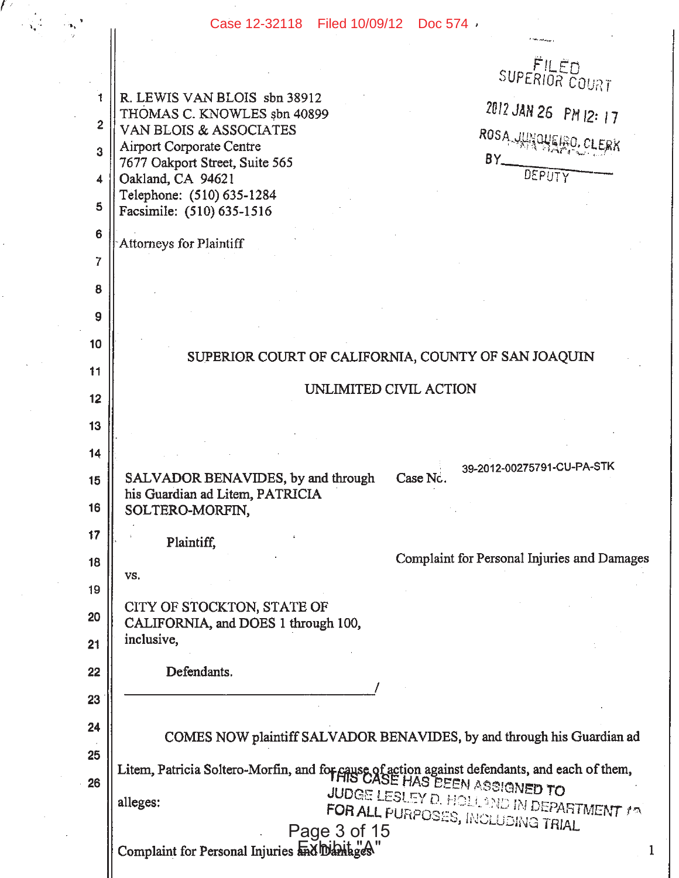## Case 12-32118 Filed 10/09/12 Doc 574 .

 $\mathbb{Z}$ 

 $\hat{\mathbf{r}}$ 

|                 | Case 12-32118 Filed 10/09/12 Doc 574 /                                                                                      |
|-----------------|-----------------------------------------------------------------------------------------------------------------------------|
|                 |                                                                                                                             |
|                 | SUPERIOR COURT                                                                                                              |
|                 | R. LEWIS VAN BLOIS sbn 38912<br>2012 JAN 26 PM 12: 17<br>THOMAS C. KNOWLES sbn 40899                                        |
| $\overline{2}$  | VAN BLOIS & ASSOCIATES<br>ROSA JUNCUERO.<br><b>Airport Corporate Centre</b>                                                 |
| 3               | $BY$ <sub>---</sub><br>7677 Oakport Street, Suite 565<br>DEPUTY                                                             |
| 4               | Oakland, CA 94621<br>Telephone: (510) 635-1284                                                                              |
| 5               | Facsimile: (510) 635-1516                                                                                                   |
| $6\phantom{1}6$ | Attorneys for Plaintiff                                                                                                     |
| $\overline{7}$  |                                                                                                                             |
| 8               |                                                                                                                             |
| 9               |                                                                                                                             |
| 10              | SUPERIOR COURT OF CALIFORNIA, COUNTY OF SAN JOAQUIN                                                                         |
| 11              |                                                                                                                             |
| 12              | UNLIMITED CIVIL ACTION                                                                                                      |
| 13              |                                                                                                                             |
| 14              |                                                                                                                             |
| 15              | 39-2012-00275791-CU-PA-STK<br>Case Nc.<br>SALVADOR BENAVIDES, by and through                                                |
| 16              | his Guardian ad Litem, PATRICIA<br>SOLTERO-MORFIN,                                                                          |
| 17              | Plaintiff,                                                                                                                  |
| 18              | Complaint for Personal Injuries and Damages                                                                                 |
| 19              | VS,                                                                                                                         |
| 20              | CITY OF STOCKTON, STATE OF<br>CALIFORNIA, and DOES 1 through 100,                                                           |
| 21              | inclusive,                                                                                                                  |
| 22              | Defendants.                                                                                                                 |
| 23              |                                                                                                                             |
| 24              |                                                                                                                             |
| 25              | COMES NOW plaintiff SALVADOR BENAVIDES, by and through his Guardian ad                                                      |
| 26              | Litem, Patricia Soltero-Morfin, and for cause of action against defendants, and each of them,<br>Illines LESUEN ASSIGNED TO |
|                 | JUDGE LESLEY D. HOLLOND IN DEPARTMENT 19<br>alleges:                                                                        |
|                 | FOR ALL PURPOSES, INCLUDING TRIAL<br>Page 3 of 15                                                                           |
|                 | Complaint for Personal Injuries ha blant ges                                                                                |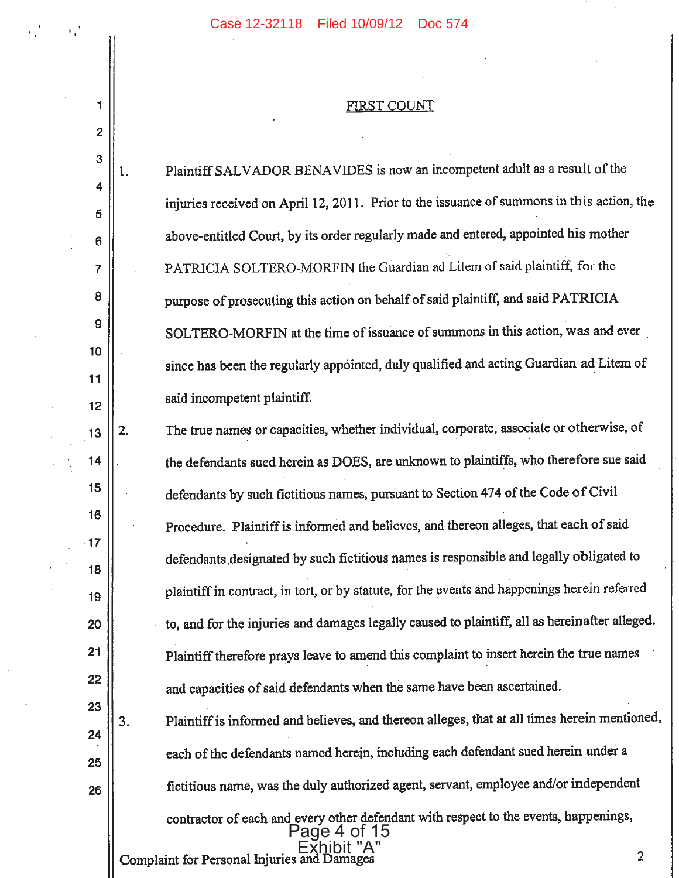v, 1

 $\mathbf{1}$ 

 $\overline{2}$ 

## FIRST COUNT

 $\sim$ 

| ${\bf 3}$ | 1. | Plaintiff SALVADOR BENAVIDES is now an incompetent adult as a result of the                          |                  |
|-----------|----|------------------------------------------------------------------------------------------------------|------------------|
| 4<br>5    |    | injuries received on April 12, 2011. Prior to the issuance of summons in this action, the            |                  |
| 6         |    | above-entitled Court, by its order regularly made and entered, appointed his mother                  |                  |
| 7         |    | PATRICIA SOLTERO-MORFIN the Guardian ad Litem of said plaintiff, for the                             |                  |
| 8         |    | purpose of prosecuting this action on behalf of said plaintiff, and said PATRICIA                    |                  |
| 9         |    | SOLTERO-MORFIN at the time of issuance of summons in this action, was and ever                       |                  |
| 10        |    | since has been the regularly appointed, duly qualified and acting Guardian ad Litem of               |                  |
| 11        |    | said incompetent plaintiff.                                                                          |                  |
| 12        | 2. | The true names or capacities, whether individual, corporate, associate or otherwise, of              |                  |
| 13<br>14  |    | the defendants sued herein as DOES, are unknown to plaintiffs, who therefore sue said                |                  |
| 15        |    | defendants by such fictitious names, pursuant to Section 474 of the Code of Civil                    |                  |
| 16        |    |                                                                                                      |                  |
| 17        |    | Procedure. Plaintiff is informed and believes, and thereon alleges, that each of said                |                  |
| 18        |    | defendants designated by such fictitious names is responsible and legally obligated to               |                  |
| 19        |    | plaintiff in contract, in tort, or by statute, for the events and happenings herein referred         |                  |
| 20        |    | to, and for the injuries and damages legally caused to plaintiff, all as hereinafter alleged.        |                  |
| 21        |    | Plaintiff therefore prays leave to amend this complaint to insert herein the true names              |                  |
| 22        |    | and capacities of said defendants when the same have been ascertained.                               |                  |
| 23        | 3. | Plaintiff is informed and believes, and thereon alleges, that at all times herein mentioned,         |                  |
| 24        |    |                                                                                                      |                  |
| 25        |    | each of the defendants named herein, including each defendant sued herein under a                    |                  |
| 26        |    | fictitious name, was the duly authorized agent, servant, employee and/or independent                 |                  |
|           |    | contractor of each and every other defendant with respect to the events, happenings,<br>Page 4 of 15 |                  |
|           |    | Complaint for Personal Injuries and Da                                                               | $\boldsymbol{2}$ |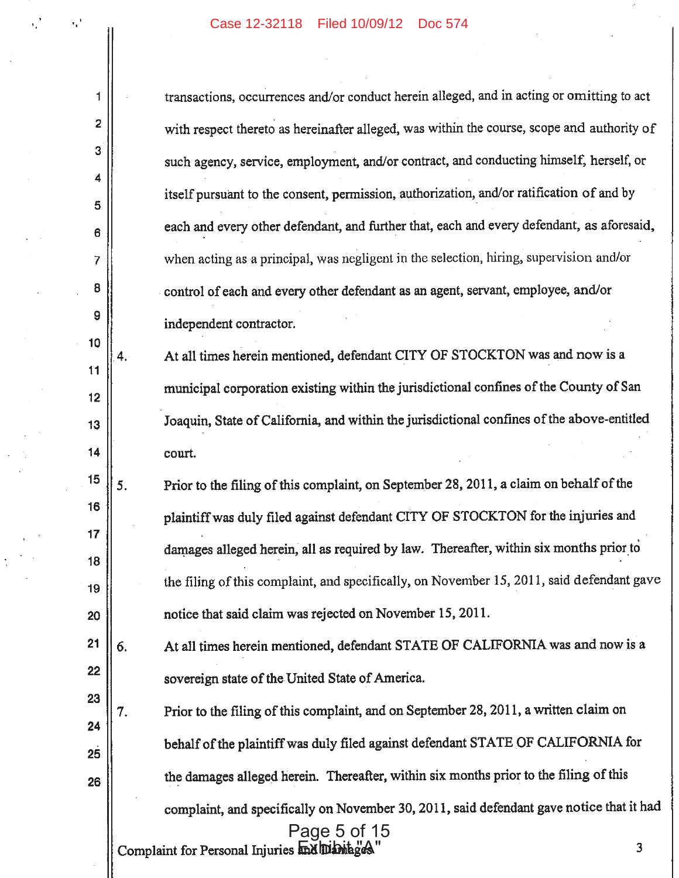$\sim$ 

 $\alpha_{\rm e}^2 = -\alpha_{\rm e}^2$ 

 $\parallel$ 

 $\frac{1}{2}$ 

 $\frac{1}{2}$  ,  $\frac{1}{2}$ 

 $\hat{\boldsymbol{\beta}}$ 

 $\sim 10$ 

 $\frac{1}{2} \left( \frac{1}{2} \right)$ 

 $\alpha$  ,  $\beta$ 

 $\frac{1}{\lambda} \frac{1}{\lambda} \frac{1}{\lambda} \frac{1}{\lambda}$  $\sim 10$ 

 $\lambda\in\mathbb{Z}$ 

 $\mathcal{F}^{\pm}$ 

 $\bar{\tau}$ 

 $\hat{\mathcal{L}}$ 

| 1        |    | transactions, occurrences and/or conduct herein alleged, and in acting or omitting to act  |
|----------|----|--------------------------------------------------------------------------------------------|
| 2        |    | with respect thereto as hereinafter alleged, was within the course, scope and authority of |
| 3        |    | such agency, service, employment, and/or contract, and conducting himself, herself, or     |
| 4        |    | itself pursuant to the consent, permission, authorization, and/or ratification of and by   |
| 5<br>6   |    | each and every other defendant, and further that, each and every defendant, as aforesaid,  |
| 7        |    | when acting as a principal, was negligent in the selection, hiring, supervision and/or     |
| 8        |    | control of each and every other defendant as an agent, servant, employee, and/or           |
| 9        |    | independent contractor.                                                                    |
| 10       |    |                                                                                            |
| 11       | 4. | At all times herein mentioned, defendant CITY OF STOCKTON was and now is a                 |
| 12       |    | municipal corporation existing within the jurisdictional confines of the County of San     |
| 13       |    | Joaquin, State of California, and within the jurisdictional confines of the above-entitled |
| 14       |    | court.                                                                                     |
| 15       | 5. | Prior to the filing of this complaint, on September 28, 2011, a claim on behalf of the     |
| 16       |    | plaintiff was duly filed against defendant CITY OF STOCKTON for the injuries and           |
| 17       |    | damages alleged herein, all as required by law. Thereafter, within six months prior to     |
| 18       |    | the filing of this complaint, and specifically, on November 15, 2011, said defendant gave  |
| 19<br>20 |    | notice that said claim was rejected on November 15, 2011.                                  |
|          |    |                                                                                            |
| 21       | 6. | At all times herein mentioned, defendant STATE OF CALIFORNIA was and now is a              |
| 22       |    | sovereign state of the United State of America.                                            |
| 23       | 7. | Prior to the filing of this complaint, and on September 28, 2011, a written claim on       |
| 24       |    | behalf of the plaintiff was duly filed against defendant STATE OF CALIFORNIA for           |
| 25       |    |                                                                                            |
| 26       |    | the damages alleged herein. Thereafter, within six months prior to the filing of this      |
|          |    | complaint, and specifically on November 30, 2011, said defendant gave notice that it had   |
|          |    | Page 5 of 15<br>3<br>Complaint for Personal Injuries and Dibitages                         |
|          |    |                                                                                            |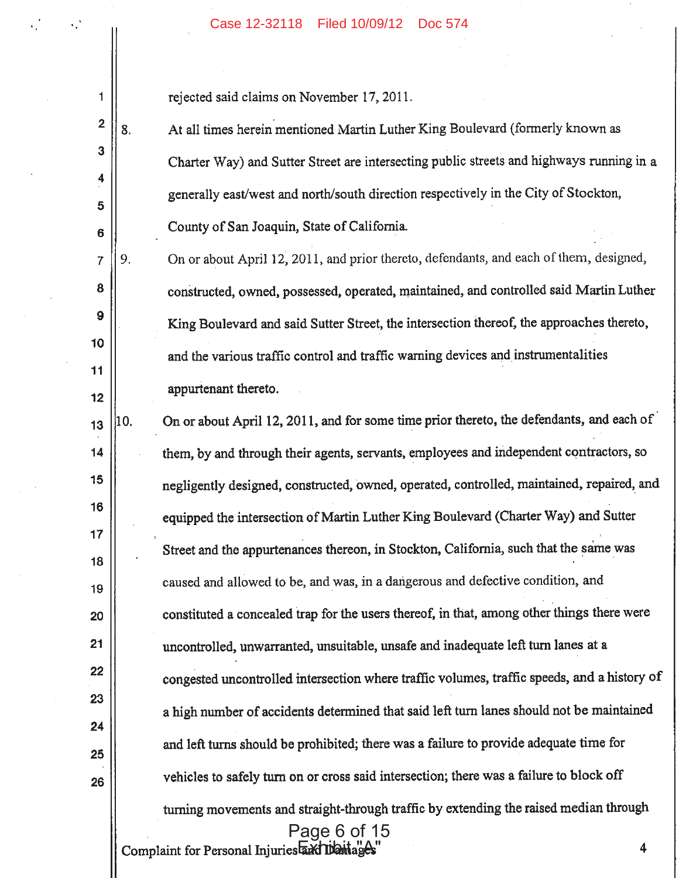rejected said claims on November 17, 2011.

1

 $\overline{2}$ 

3

 $\overline{\mathbf{4}}$ 

5

 $6\phantom{1}$ 

 $\overline{7}$ 

8

9

10

 $11$ 

 $12$ 

At all times herein mentioned Martin Luther King Boulevard (formerly known as 8. Charter Way) and Sutter Street are intersecting public streets and highways running in a generally east/west and north/south direction respectively in the City of Stockton, County of San Joaquin, State of California.

On or about April 12, 2011, and prior thereto, defendants, and each of them, designed, 9. constructed, owned, possessed, operated, maintained, and controlled said Martin Luther King Boulevard and said Sutter Street, the intersection thereof, the approaches thereto, and the various traffic control and traffic warning devices and instrumentalities appurtenant thereto.

On or about April 12, 2011, and for some time prior thereto, the defendants, and each of 10.  $13$ them, by and through their agents, servants, employees and independent contractors, so 14 15 negligently designed, constructed, owned, operated, controlled, maintained, repaired, and 16 equipped the intersection of Martin Luther King Boulevard (Charter Way) and Sutter  $17$ Street and the appurtenances thereon, in Stockton, California, such that the same was 18 caused and allowed to be, and was, in a dangerous and defective condition, and 19 constituted a concealed trap for the users thereof, in that, among other things there were 20 21 uncontrolled, unwarranted, unsuitable, unsafe and inadequate left turn lanes at a 22 congested uncontrolled intersection where traffic volumes, traffic speeds, and a history of 23 a high number of accidents determined that said left turn lanes should not be maintained 24 and left turns should be prohibited; there was a failure to provide adequate time for 25 vehicles to safely turn on or cross said intersection; there was a failure to block off 26 turning movements and straight-through traffic by extending the raised median through Page 6 of 15

Complaint for Personal Injuries axil Daniage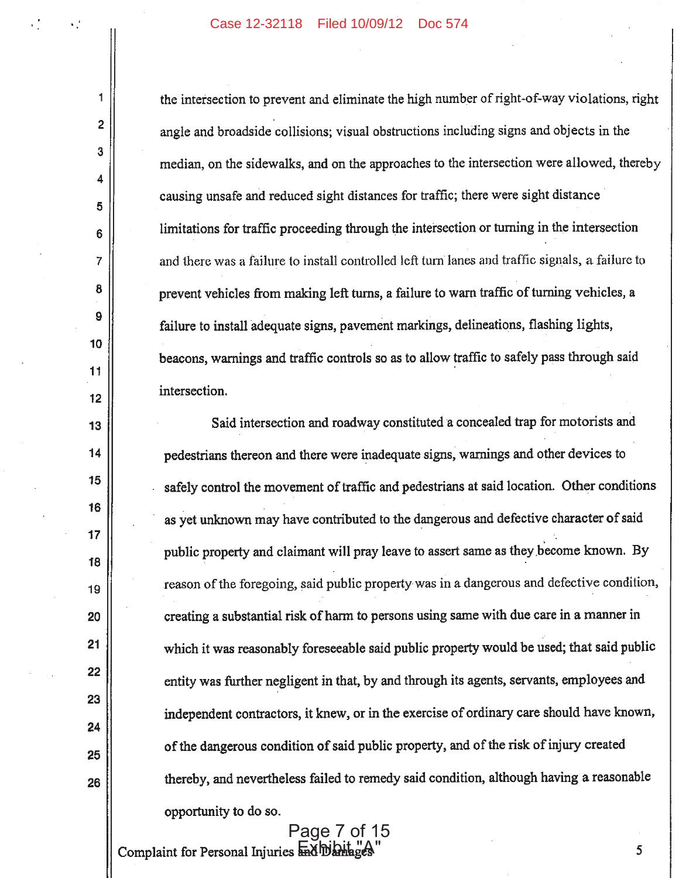$\mathbf{1}$ 

 $\overline{2}$ 

3

4

5

 $6\phantom{1}$ 

 $\overline{7}$ 

8

9

10

11

 $12$ 

13

14

15

16

 $17$ 

18

19

20

 $21$ 

22

23

24

25

26

the intersection to prevent and eliminate the high number of right-of-way violations, right angle and broadside collisions; visual obstructions including signs and objects in the median, on the sidewalks, and on the approaches to the intersection were allowed, thereby causing unsafe and reduced sight distances for traffic; there were sight distance limitations for traffic proceeding through the intersection or turning in the intersection and there was a failure to install controlled left turn lanes and traffic signals, a failure to prevent vehicles from making left turns, a failure to warn traffic of turning vehicles, a failure to install adequate signs, pavement markings, delineations, flashing lights, beacons, warnings and traffic controls so as to allow traffic to safely pass through said intersection.

Said intersection and roadway constituted a concealed trap for motorists and pedestrians thereon and there were inadequate signs, warnings and other devices to safely control the movement of traffic and pedestrians at said location. Other conditions as yet unknown may have contributed to the dangerous and defective character of said public property and claimant will pray leave to assert same as they become known. By reason of the foregoing, said public property was in a dangerous and defective condition, creating a substantial risk of harm to persons using same with due care in a manner in which it was reasonably foreseeable said public property would be used; that said public entity was further negligent in that, by and through its agents, servants, employees and independent contractors, it knew, or in the exercise of ordinary care should have known, of the dangerous condition of said public property, and of the risk of injury created thereby, and nevertheless failed to remedy said condition, although having a reasonable opportunity to do so.

Complaint for Personal Injuries had blanage Page 7 of 15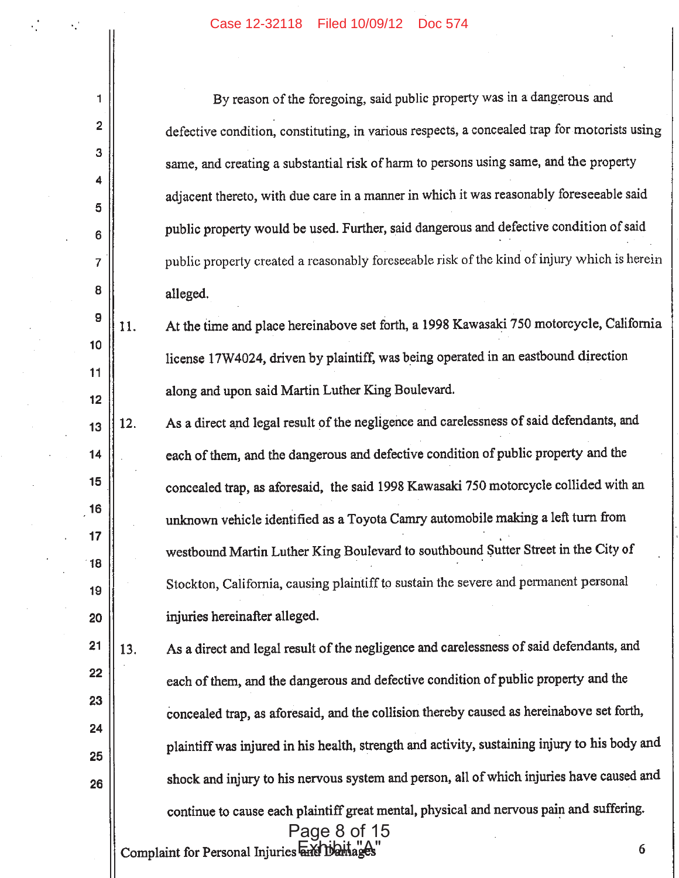$\mathbf{1}$ 

 $\overline{2}$ 

3

 $\blacktriangle$ 

5

6

 $\overline{7}$ 

8

 $13$ 

 $14$ 

 $15$ 

16

 $17$ 

18

19

| By reason of the foregoing, said public property was in a dangerous and                      |
|----------------------------------------------------------------------------------------------|
| defective condition, constituting, in various respects, a concealed trap for motorists using |
| same, and creating a substantial risk of harm to persons using same, and the property        |
| adjacent thereto, with due care in a manner in which it was reasonably foreseeable said      |
| public property would be used. Further, said dangerous and defective condition of said       |
| public property created a reasonably foreseeable risk of the kind of injury which is herein  |
| alleged.                                                                                     |

- $\overline{9}$ At the time and place hereinabove set forth, a 1998 Kawasaki 750 motorcycle, California 11.  $10$ license 17W4024, driven by plaintiff, was being operated in an eastbound direction  $11$ along and upon said Martin Luther King Boulevard.  $12$ 
	- As a direct and legal result of the negligence and carelessness of said defendants, and 12. each of them, and the dangerous and defective condition of public property and the concealed trap, as aforesaid, the said 1998 Kawasaki 750 motorcycle collided with an unknown vehicle identified as a Toyota Camry automobile making a left turn from westbound Martin Luther King Boulevard to southbound Sutter Street in the City of Stockton, California, causing plaintiff to sustain the severe and permanent personal injuries hereinafter alleged.
- $21$ As a direct and legal result of the negligence and carelessness of said defendants, and 13. 22 each of them, and the dangerous and defective condition of public property and the 23 concealed trap, as aforesaid, and the collision thereby caused as hereinabove set forth, 24 plaintiff was injured in his health, strength and activity, sustaining injury to his body and 25 shock and injury to his nervous system and person, all of which injuries have caused and 26 continue to cause each plaintiff great mental, physical and nervous pain and suffering. Page 8 of 15 Complaint for Personal Injuries and Damage 6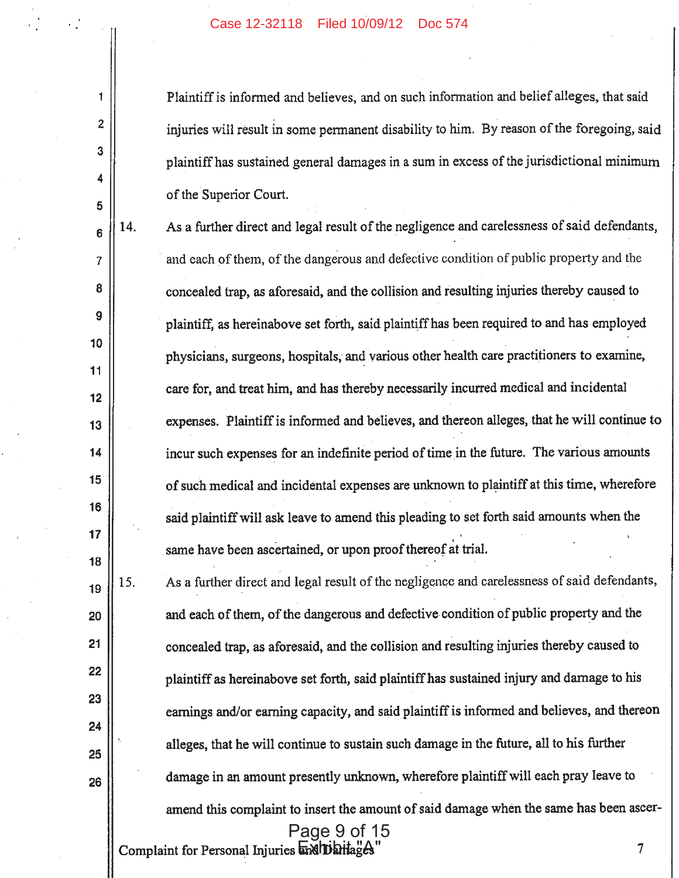$\mathbf{1}$ 

 $\overline{2}$ 

3

4

5

 $\overline{7}$ 

8

 $9$ 

11

 $13$ 

 $14$ 

15

16

 $17$ 

18

Plaintiff is informed and believes, and on such information and belief alleges, that said injuries will result in some permanent disability to him. By reason of the foregoing, said plaintiff has sustained general damages in a sum in excess of the jurisdictional minimum of the Superior Court.

As a further direct and legal result of the negligence and carelessness of said defendants, 14.  $6\phantom{1}$ and each of them, of the dangerous and defective condition of public property and the concealed trap, as aforesaid, and the collision and resulting injuries thereby caused to plaintiff, as hereinabove set forth, said plaintiff has been required to and has employed 10 physicians, surgeons, hospitals, and various other health care practitioners to examine, care for, and treat him, and has thereby necessarily incurred medical and incidental  $12$ expenses. Plaintiff is informed and believes, and thereon alleges, that he will continue to incur such expenses for an indefinite period of time in the future. The various amounts of such medical and incidental expenses are unknown to plaintiff at this time, wherefore said plaintiff will ask leave to amend this pleading to set forth said amounts when the same have been ascertained, or upon proof thereof at trial.

As a further direct and legal result of the negligence and carelessness of said defendants, 15. 19 and each of them, of the dangerous and defective condition of public property and the 20  $21$ concealed trap, as aforesaid, and the collision and resulting injuries thereby caused to 22 plaintiff as hereinabove set forth, said plaintiff has sustained injury and damage to his 23 earnings and/or earning capacity, and said plaintiff is informed and believes, and thereon 24 alleges, that he will continue to sustain such damage in the future, all to his further 25 damage in an amount presently unknown, wherefore plaintiff will each pray leave to 26 amend this complaint to insert the amount of said damage when the same has been ascer-Page 9 of 15

Complaint for Personal Injuries mahibilitages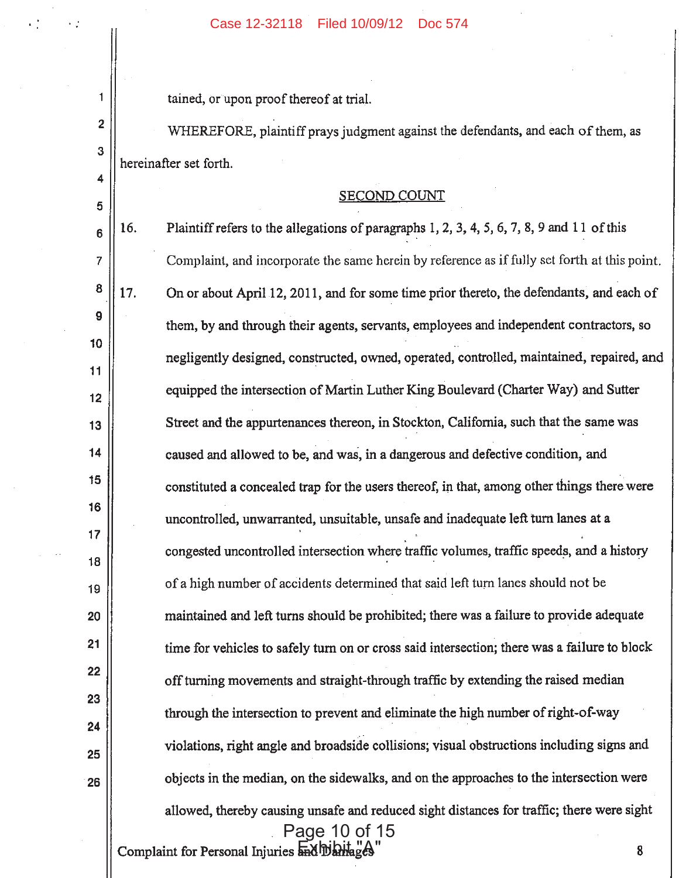$\blacksquare$ tained, or upon proof thereof at trial.  $\overline{2}$ WHEREFORE, plaintiff prays judgment against the defendants, and each of them, as 3 hereinafter set forth. 4 **SECOND COUNT** 5 16. Plaintiff refers to the allegations of paragraphs 1, 2, 3, 4, 5, 6, 7, 8, 9 and 11 of this  $6\phantom{1}$ Complaint, and incorporate the same herein by reference as if fully set forth at this point.  $\overline{7}$ 8 17. On or about April 12, 2011, and for some time prior thereto, the defendants, and each of 9 them, by and through their agents, servants, employees and independent contractors, so 10 negligently designed, constructed, owned, operated, controlled, maintained, repaired, and  $11$ equipped the intersection of Martin Luther King Boulevard (Charter Way) and Sutter  $12$ Street and the appurtenances thereon, in Stockton, California, such that the same was  $13$  $14$ caused and allowed to be, and was, in a dangerous and defective condition, and 15 constituted a concealed trap for the users thereof, in that, among other things there were 16 uncontrolled, unwarranted, unsuitable, unsafe and inadequate left turn lanes at a 17 congested uncontrolled intersection where traffic volumes, traffic speeds, and a history 18 of a high number of accidents determined that said left turn lanes should not be 19 maintained and left turns should be prohibited; there was a failure to provide adequate 20  $21$ time for vehicles to safely turn on or cross said intersection; there was a failure to block 22 off turning movements and straight-through traffic by extending the raised median 23 through the intersection to prevent and eliminate the high number of right-of-way 24 violations, right angle and broadside collisions; visual obstructions including signs and 25 objects in the median, on the sidewalks, and on the approaches to the intersection were 26 allowed, thereby causing unsafe and reduced sight distances for traffic; there were sight Page 10 of 15 Complaint for Personal Injuries and Dahlages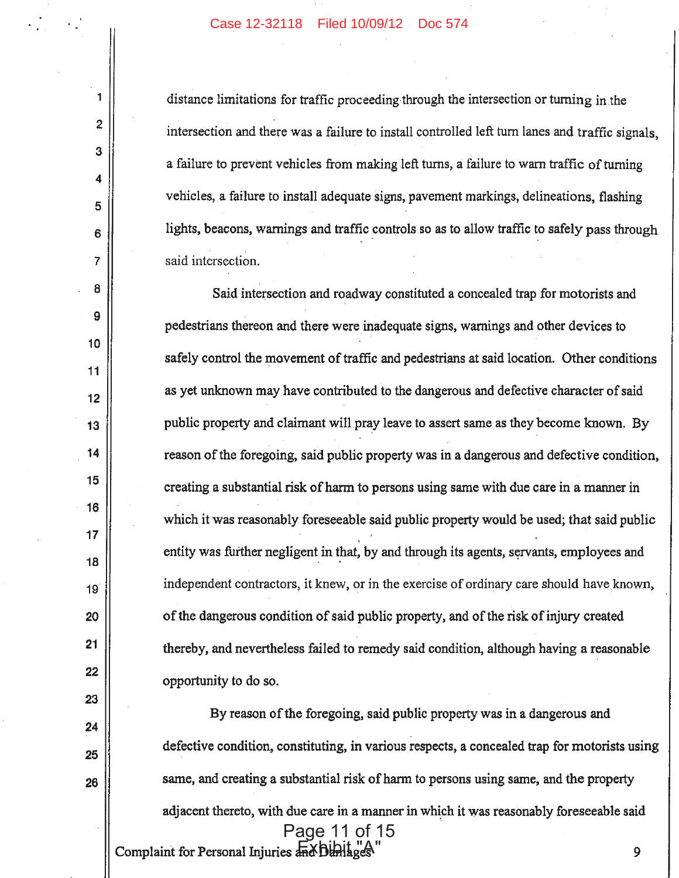## Case 12-32118 Filed 10/09/12 Doc 574

1

 $\overline{2}$ 

3

 $\overline{\mathbf{4}}$ 

5

6

7

8

9

 $10$ 

11

 $12$ 

13

14

15

16

 $17$ 

18

19

20

21

22

23

24

25

26

distance limitations for traffic proceeding through the intersection or turning in the intersection and there was a failure to install controlled left turn lanes and traffic signals. a failure to prevent vehicles from making left turns, a failure to warn traffic of turning vehicles, a failure to install adequate signs, pavement markings, delineations, flashing lights, beacons, warnings and traffic controls so as to allow traffic to safely pass through said intersection.

Said intersection and roadway constituted a concealed trap for motorists and pedestrians thereon and there were inadequate signs, warnings and other devices to safely control the movement of traffic and pedestrians at said location. Other conditions as yet unknown may have contributed to the dangerous and defective character of said public property and claimant will pray leave to assert same as they become known. By reason of the foregoing, said public property was in a dangerous and defective condition, creating a substantial risk of harm to persons using same with due care in a manner in which it was reasonably foreseeable said public property would be used; that said public entity was further negligent in that, by and through its agents, servants, employees and independent contractors, it knew, or in the exercise of ordinary care should have known, of the dangerous condition of said public property, and of the risk of injury created thereby, and nevertheless failed to remedy said condition, although having a reasonable opportunity to do so.

By reason of the foregoing, said public property was in a dangerous and defective condition, constituting, in various respects, a concealed trap for motorists using same, and creating a substantial risk of harm to persons using same, and the property adjacent thereto, with due care in a manner in which it was reasonably foreseeable said Page 11 of 15 Complaint for Personal Injuries and Dunlages 9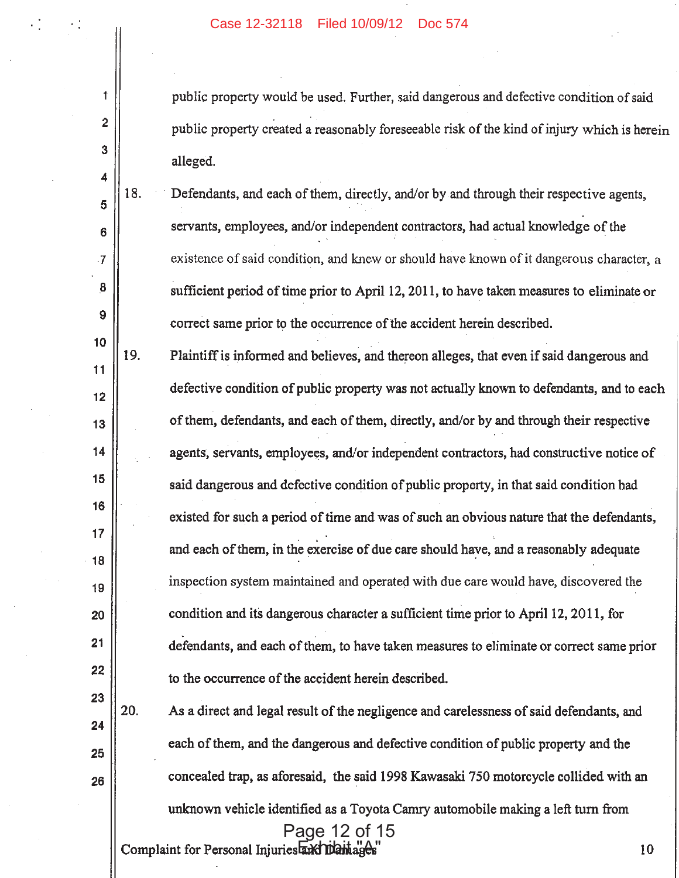$\uparrow$ 

 $\overline{2}$ 

3

4

5

6

7

8

9

 $10$ 

 $11$ 

 $12$ 

 $13$ 

14

15

16

17

18

19

20

 $21$ 

22

23

24

25

26

public property would be used. Further, said dangerous and defective condition of said public property created a reasonably foreseeable risk of the kind of injury which is herein alleged.

18. Defendants, and each of them, directly, and/or by and through their respective agents, servants, employees, and/or independent contractors, had actual knowledge of the existence of said condition, and knew or should have known of it dangerous character, a sufficient period of time prior to April 12, 2011, to have taken measures to eliminate or correct same prior to the occurrence of the accident herein described.

19. Plaintiff is informed and believes, and thereon alleges, that even if said dangerous and defective condition of public property was not actually known to defendants, and to each of them, defendants, and each of them, directly, and/or by and through their respective agents, servants, employees, and/or independent contractors, had constructive notice of said dangerous and defective condition of public property, in that said condition had existed for such a period of time and was of such an obvious nature that the defendants, and each of them, in the exercise of due care should have, and a reasonably adequate inspection system maintained and operated with due care would have, discovered the condition and its dangerous character a sufficient time prior to April 12, 2011, for defendants, and each of them, to have taken measures to eliminate or correct same prior to the occurrence of the accident herein described.

20. As a direct and legal result of the negligence and carelessness of said defendants, and each of them, and the dangerous and defective condition of public property and the concealed trap, as aforesaid, the said 1998 Kawasaki 750 motorcycle collided with an unknown vehicle identified as a Toyota Camry automobile making a left turn from Page 12 of 15 Complaint for Personal Injuries and Diamages 10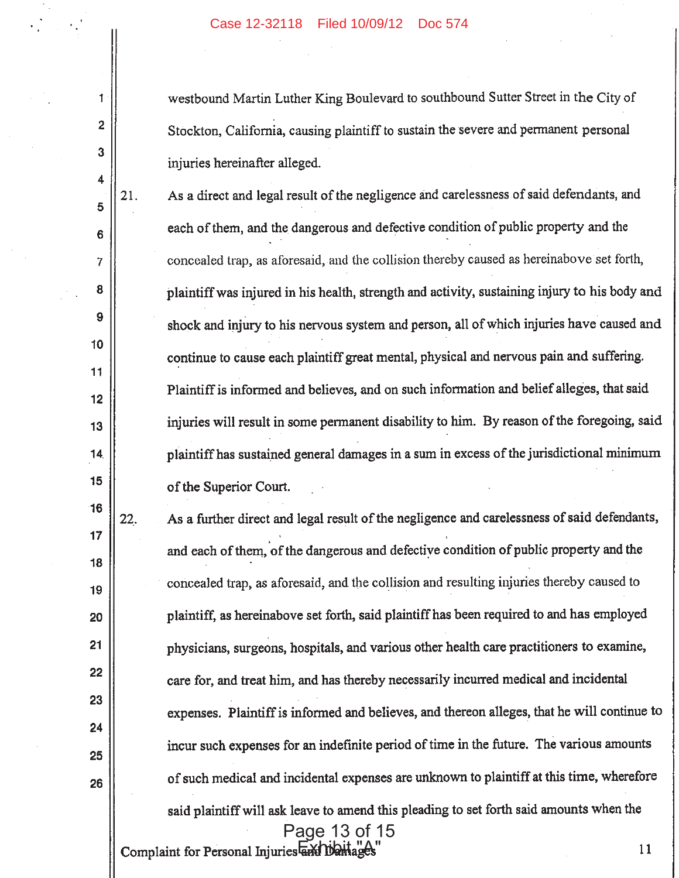westbound Martin Luther King Boulevard to southbound Sutter Street in the City of Stockton, California, causing plaintiff to sustain the severe and permanent personal injuries hereinafter alleged.

5 6

 $\overline{7}$ 

8

9

10

11

 $12$ 

13

14

15

16

 $17$ 

18

19

20

 $21$ 

22

23

24

25

26

 $\mathbf{1}$ 

 $\overline{2}$ 

3

4

21. As a direct and legal result of the negligence and carelessness of said defendants, and each of them, and the dangerous and defective condition of public property and the concealed trap, as aforesaid, and the collision thereby caused as hereinabove set forth, plaintiff was injured in his health, strength and activity, sustaining injury to his body and shock and injury to his nervous system and person, all of which injuries have caused and continue to cause each plaintiff great mental, physical and nervous pain and suffering. Plaintiff is informed and believes, and on such information and belief alleges, that said injuries will result in some permanent disability to him. By reason of the foregoing, said plaintiff has sustained general damages in a sum in excess of the jurisdictional minimum of the Superior Court.

As a further direct and legal result of the negligence and carelessness of said defendants, 22. and each of them, of the dangerous and defective condition of public property and the concealed trap, as aforesaid, and the collision and resulting injuries thereby caused to plaintiff, as hereinabove set forth, said plaintiff has been required to and has employed physicians, surgeons, hospitals, and various other health care practitioners to examine, care for, and treat him, and has thereby necessarily incurred medical and incidental expenses. Plaintiff is informed and believes, and thereon alleges, that he will continue to incur such expenses for an indefinite period of time in the future. The various amounts of such medical and incidental expenses are unknown to plaintiff at this time, wherefore said plaintiff will ask leave to amend this pleading to set forth said amounts when the Page 13 of 15

Complaint for Personal Injuries and Damage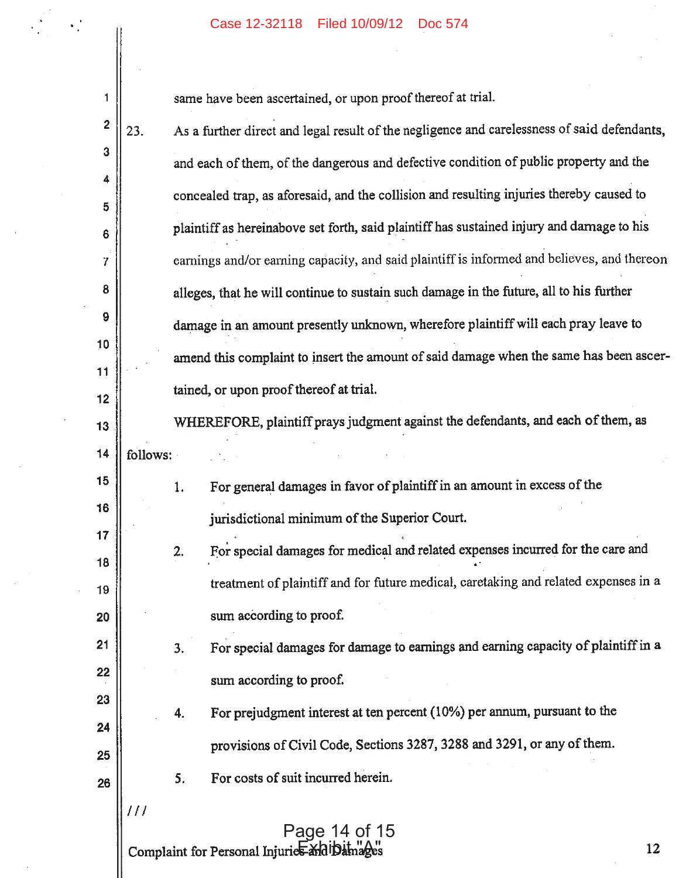$\sim$ 

 $\sim$ 

 $\label{eq:2.1} \frac{1}{\sqrt{2}}\sum_{i=1}^n\frac{1}{\sqrt{2}}\sum_{i=1}^n\frac{1}{\sqrt{2}}\sum_{i=1}^n\frac{1}{\sqrt{2}}\sum_{i=1}^n\frac{1}{\sqrt{2}}\sum_{i=1}^n\frac{1}{\sqrt{2}}\sum_{i=1}^n\frac{1}{\sqrt{2}}\sum_{i=1}^n\frac{1}{\sqrt{2}}\sum_{i=1}^n\frac{1}{\sqrt{2}}\sum_{i=1}^n\frac{1}{\sqrt{2}}\sum_{i=1}^n\frac{1}{\sqrt{2}}\sum_{i=1}^n\frac$ 

|  |             | Case 12-32118 Filed 10/09/12<br>Doc 574                                                            |
|--|-------------|----------------------------------------------------------------------------------------------------|
|  | 1           | same have been ascertained, or upon proof thereof at trial.                                        |
|  | $\mathbf 2$ | As a further direct and legal result of the negligence and carelessness of said defendants,<br>23. |
|  | 3           | and each of them, of the dangerous and defective condition of public property and the              |
|  | 4           |                                                                                                    |
|  | 5           | concealed trap, as aforesaid, and the collision and resulting injuries thereby caused to           |
|  | 6           | plaintiff as hereinabove set forth, said plaintiff has sustained injury and damage to his          |
|  | 7           | earnings and/or earning capacity, and said plaintiff is informed and believes, and thereon         |
|  | 8           | alleges, that he will continue to sustain such damage in the future, all to his further            |
|  | 9           | damage in an amount presently unknown, wherefore plaintiff will each pray leave to                 |
|  | 10          | amend this complaint to insert the amount of said damage when the same has been ascer-             |
|  | 11          | tained, or upon proof thereof at trial.                                                            |
|  | 12          | WHEREFORE, plaintiff prays judgment against the defendants, and each of them, as                   |
|  | 13          |                                                                                                    |
|  | 14          | follows:                                                                                           |
|  | 15<br>16    | For general damages in favor of plaintiff in an amount in excess of the<br>1.                      |
|  | 17          | jurisdictional minimum of the Superior Court.                                                      |
|  | 18          | For special damages for medical and related expenses incurred for the care and<br>2.               |
|  | 19          | treatment of plaintiff and for future medical, caretaking and related expenses in a                |
|  | 20          | sum according to proof.                                                                            |
|  | 21          | For special damages for damage to earnings and earning capacity of plaintiff in a<br>3.            |
|  | 22          | sum according to proof.                                                                            |
|  | 23          | For prejudgment interest at ten percent (10%) per annum, pursuant to the<br>4.                     |
|  | 24          |                                                                                                    |
|  | 25          | provisions of Civil Code, Sections 3287, 3288 and 3291, or any of them.                            |
|  | 26          | For costs of suit incurred herein.<br>5.                                                           |
|  |             | $\frac{1}{2}$<br>Page 14 of 15<br>Complaint for Personal Injuries and Damages<br>12                |